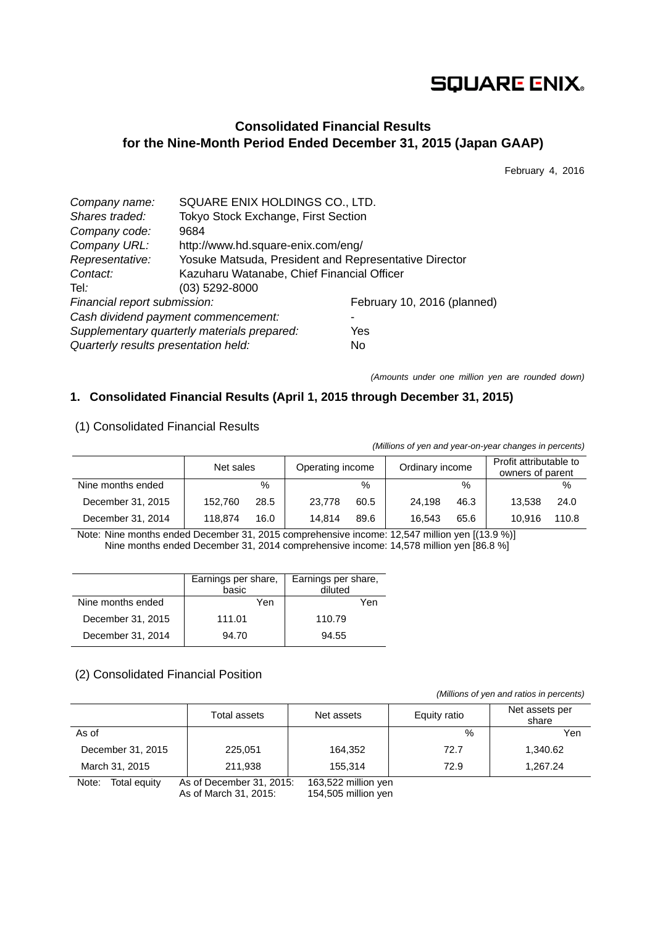# **SQUARE ENIX.**

## **Consolidated Financial Results for the Nine-Month Period Ended December 31, 2015 (Japan GAAP)**

February 4, 2016

| Company name:                        | SQUARE ENIX HOLDINGS CO., LTD.                        |                             |  |  |  |
|--------------------------------------|-------------------------------------------------------|-----------------------------|--|--|--|
| Shares traded:                       | Tokyo Stock Exchange, First Section                   |                             |  |  |  |
| Company code:                        | 9684                                                  |                             |  |  |  |
| Company URL:                         | http://www.hd.square-enix.com/eng/                    |                             |  |  |  |
| Representative:                      | Yosuke Matsuda, President and Representative Director |                             |  |  |  |
| Contact:                             | Kazuharu Watanabe, Chief Financial Officer            |                             |  |  |  |
| Tel:                                 | $(03)$ 5292-8000                                      |                             |  |  |  |
| Financial report submission:         |                                                       | February 10, 2016 (planned) |  |  |  |
| Cash dividend payment commencement:  |                                                       |                             |  |  |  |
|                                      | Supplementary quarterly materials prepared:           | Yes                         |  |  |  |
| Quarterly results presentation held: |                                                       | No                          |  |  |  |

*(Amounts under one million yen are rounded down)* 

## **1. Consolidated Financial Results (April 1, 2015 through December 31, 2015)**

| (                 |         |                                                  |        |               |        |                                            |        |       |
|-------------------|---------|--------------------------------------------------|--------|---------------|--------|--------------------------------------------|--------|-------|
|                   |         | Ordinary income<br>Operating income<br>Net sales |        |               |        | Profit attributable to<br>owners of parent |        |       |
| Nine months ended |         | $\%$                                             |        | $\frac{0}{0}$ |        | $\%$                                       |        | $\%$  |
| December 31, 2015 | 152.760 | 28.5                                             | 23.778 | 60.5          | 24.198 | 46.3                                       | 13.538 | 24.0  |
| December 31, 2014 | 118.874 | 16.0                                             | 14.814 | 89.6          | 16.543 | 65.6                                       | 10.916 | 110.8 |

### (1) Consolidated Financial Results

*(Millions of yen and year-on-year changes in percents)*

Note: Nine months ended December 31, 2015 comprehensive income: 12,547 million yen [(13.9 %)] Nine months ended December 31, 2014 comprehensive income: 14,578 million yen [86.8 %]

|                   | Earnings per share,<br>basic | Earnings per share,<br>diluted |
|-------------------|------------------------------|--------------------------------|
| Nine months ended | Yen                          | Yen                            |
| December 31, 2015 | 111.01                       | 110.79                         |
| December 31, 2014 | 94.70                        | 94.55                          |

### (2) Consolidated Financial Position

 *(Millions of yen and ratios in percents)*

|                       | Total assets                                      | Net assets                                 | Equity ratio  | Net assets per<br>share |
|-----------------------|---------------------------------------------------|--------------------------------------------|---------------|-------------------------|
| As of                 |                                                   |                                            | $\frac{0}{0}$ | Yen                     |
| December 31, 2015     | 225.051                                           | 164,352                                    | 72.7          | 1,340.62                |
| March 31, 2015        | 211,938                                           | 155.314                                    | 72.9          | 1,267.24                |
| Total equity<br>Note: | As of December 31, 2015:<br>As of March 31, 2015: | 163,522 million yen<br>154,505 million yen |               |                         |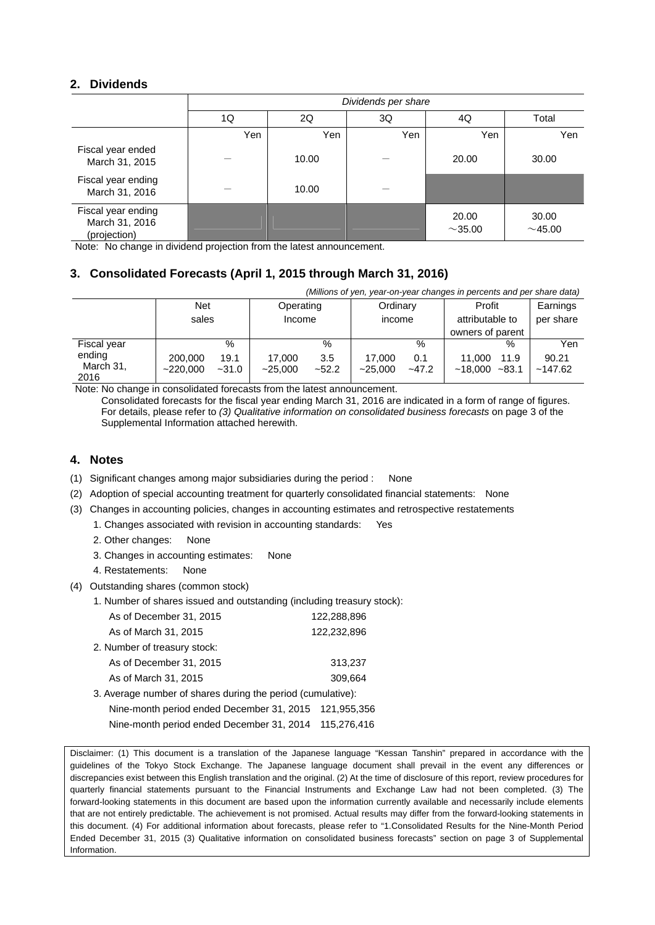## **2. Dividends**

|                                                      | Dividends per share |       |     |                        |                |  |  |  |
|------------------------------------------------------|---------------------|-------|-----|------------------------|----------------|--|--|--|
|                                                      | 1Q                  | 2Q    | 3Q  | 4Q                     | Total          |  |  |  |
|                                                      | Yen                 | Yen   | Yen | Yen                    | Yen            |  |  |  |
| Fiscal year ended<br>March 31, 2015                  |                     | 10.00 |     | 20.00                  | 30.00          |  |  |  |
| Fiscal year ending<br>March 31, 2016                 |                     | 10.00 |     |                        |                |  |  |  |
| Fiscal year ending<br>March 31, 2016<br>(projection) |                     |       |     | 20.00<br>${\sim}35.00$ | 30.00<br>~1.00 |  |  |  |

Note: No change in dividend projection from the latest announcement.

## **3. Consolidated Forecasts (April 1, 2015 through March 31, 2016)**

| (Millions of yen, year-on-year changes in percents and per share data) |                     |                 |                     |                |                    |                |                                               |                  |                       |
|------------------------------------------------------------------------|---------------------|-----------------|---------------------|----------------|--------------------|----------------|-----------------------------------------------|------------------|-----------------------|
|                                                                        | <b>Net</b><br>sales |                 | Operating<br>Income |                | Ordinary<br>income |                | Profit<br>attributable to<br>owners of parent |                  | Earnings<br>per share |
| Fiscal year                                                            |                     | $\%$            |                     | %              |                    | $\%$           |                                               | %                | Yen                   |
| ending<br>March 31,<br>2016                                            | 200,000<br>~220.000 | 19.1<br>$-31.0$ | 17.000<br>$-25.000$ | 3.5<br>$-52.2$ | 17.000<br>~25.000  | 0.1<br>$-47.2$ | 11.000<br>~18.000                             | 11.9<br>$~-83.1$ | 90.21<br>~147.62      |

Note: No change in consolidated forecasts from the latest announcement. Consolidated forecasts for the fiscal year ending March 31, 2016 are indicated in a form of range of figures. For details, please refer to *(3) Qualitative information on consolidated business forecasts* on page 3 of the Supplemental Information attached herewith.

## **4. Notes**

- (1) Significant changes among major subsidiaries during the period : None
- (2) Adoption of special accounting treatment for quarterly consolidated financial statements: None
- (3) Changes in accounting policies, changes in accounting estimates and retrospective restatements
	- 1. Changes associated with revision in accounting standards: Yes
	- 2. Other changes: None
	- 3. Changes in accounting estimates: None
	- 4. Restatements: None
- (4) Outstanding shares (common stock)
	- 1. Number of shares issued and outstanding (including treasury stock):

| As of December 31, 2015                                     | 122,288,896 |
|-------------------------------------------------------------|-------------|
| As of March 31, 2015                                        | 122,232,896 |
| 2. Number of treasury stock:                                |             |
| As of December 31, 2015                                     | 313,237     |
| As of March 31, 2015                                        | 309.664     |
| 3. Average number of shares during the period (cumulative): |             |
| Nine-month period ended December 31, 2015                   | 121.955.356 |
| Nine-month period ended December 31, 2014                   | 115.276.416 |

Disclaimer: (1) This document is a translation of the Japanese language "Kessan Tanshin" prepared in accordance with the guidelines of the Tokyo Stock Exchange. The Japanese language document shall prevail in the event any differences or discrepancies exist between this English translation and the original. (2) At the time of disclosure of this report, review procedures for quarterly financial statements pursuant to the Financial Instruments and Exchange Law had not been completed. (3) The forward-looking statements in this document are based upon the information currently available and necessarily include elements that are not entirely predictable. The achievement is not promised. Actual results may differ from the forward-looking statements in this document. (4) For additional information about forecasts, please refer to "1.Consolidated Results for the Nine-Month Period Ended December 31, 2015 (3) Qualitative information on consolidated business forecasts" section on page 3 of Supplemental Information.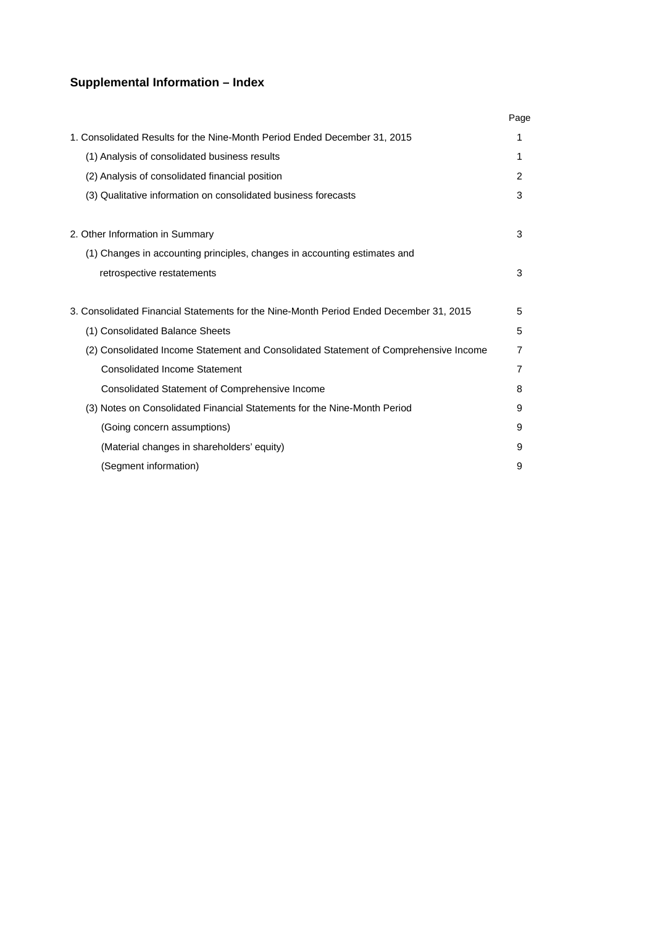## **Supplemental Information – Index**

|                                                                                        | Page |
|----------------------------------------------------------------------------------------|------|
| 1. Consolidated Results for the Nine-Month Period Ended December 31, 2015              | 1    |
| (1) Analysis of consolidated business results                                          | 1    |
| (2) Analysis of consolidated financial position                                        | 2    |
| (3) Qualitative information on consolidated business forecasts                         | 3    |
| 2. Other Information in Summary                                                        | 3    |
| (1) Changes in accounting principles, changes in accounting estimates and              |      |
| retrospective restatements                                                             | 3    |
| 3. Consolidated Financial Statements for the Nine-Month Period Ended December 31, 2015 | 5    |
| (1) Consolidated Balance Sheets                                                        | 5    |
| (2) Consolidated Income Statement and Consolidated Statement of Comprehensive Income   | 7    |
| <b>Consolidated Income Statement</b>                                                   | 7    |
| Consolidated Statement of Comprehensive Income                                         | 8    |
| (3) Notes on Consolidated Financial Statements for the Nine-Month Period               | 9    |
| (Going concern assumptions)                                                            | 9    |
| (Material changes in shareholders' equity)                                             | 9    |
| (Segment information)                                                                  | 9    |
|                                                                                        |      |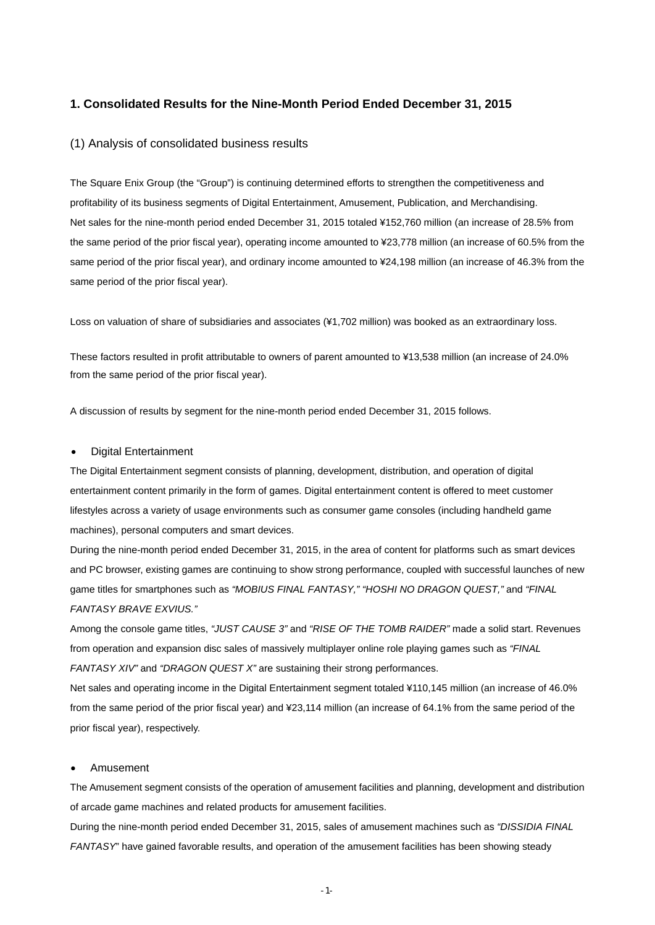#### **1. Consolidated Results for the Nine-Month Period Ended December 31, 2015**

#### (1) Analysis of consolidated business results

The Square Enix Group (the "Group") is continuing determined efforts to strengthen the competitiveness and profitability of its business segments of Digital Entertainment, Amusement, Publication, and Merchandising. Net sales for the nine-month period ended December 31, 2015 totaled ¥152,760 million (an increase of 28.5% from the same period of the prior fiscal year), operating income amounted to ¥23,778 million (an increase of 60.5% from the same period of the prior fiscal year), and ordinary income amounted to ¥24,198 million (an increase of 46.3% from the same period of the prior fiscal year).

Loss on valuation of share of subsidiaries and associates (¥1,702 million) was booked as an extraordinary loss.

These factors resulted in profit attributable to owners of parent amounted to ¥13,538 million (an increase of 24.0% from the same period of the prior fiscal year).

A discussion of results by segment for the nine-month period ended December 31, 2015 follows.

#### Digital Entertainment

The Digital Entertainment segment consists of planning, development, distribution, and operation of digital entertainment content primarily in the form of games. Digital entertainment content is offered to meet customer lifestyles across a variety of usage environments such as consumer game consoles (including handheld game machines), personal computers and smart devices.

During the nine-month period ended December 31, 2015, in the area of content for platforms such as smart devices and PC browser, existing games are continuing to show strong performance, coupled with successful launches of new game titles for smartphones such as *"MOBIUS FINAL FANTASY," "HOSHI NO DRAGON QUEST,"* and *"FINAL FANTASY BRAVE EXVIUS."*

Among the console game titles, *"JUST CAUSE 3"* and *"RISE OF THE TOMB RAIDER"* made a solid start. Revenues from operation and expansion disc sales of massively multiplayer online role playing games such as *"FINAL FANTASY XIV"* and *"DRAGON QUEST X"* are sustaining their strong performances.

Net sales and operating income in the Digital Entertainment segment totaled ¥110,145 million (an increase of 46.0% from the same period of the prior fiscal year) and ¥23,114 million (an increase of 64.1% from the same period of the prior fiscal year), respectively.

#### Amusement

The Amusement segment consists of the operation of amusement facilities and planning, development and distribution of arcade game machines and related products for amusement facilities.

During the nine-month period ended December 31, 2015, sales of amusement machines such as *"DISSIDIA FINAL FANTASY*" have gained favorable results, and operation of the amusement facilities has been showing steady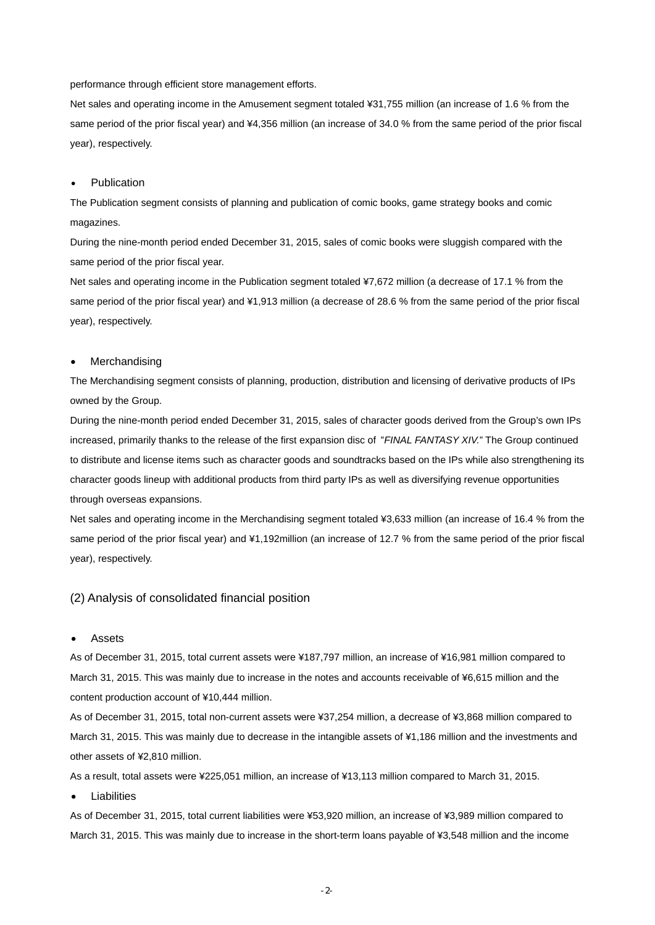performance through efficient store management efforts.

Net sales and operating income in the Amusement segment totaled ¥31,755 million (an increase of 1.6 % from the same period of the prior fiscal year) and ¥4,356 million (an increase of 34.0 % from the same period of the prior fiscal year), respectively.

#### Publication

The Publication segment consists of planning and publication of comic books, game strategy books and comic magazines.

During the nine-month period ended December 31, 2015, sales of comic books were sluggish compared with the same period of the prior fiscal year.

Net sales and operating income in the Publication segment totaled ¥7,672 million (a decrease of 17.1 % from the same period of the prior fiscal year) and ¥1,913 million (a decrease of 28.6 % from the same period of the prior fiscal year), respectively.

#### Merchandising

The Merchandising segment consists of planning, production, distribution and licensing of derivative products of IPs owned by the Group.

During the nine-month period ended December 31, 2015, sales of character goods derived from the Group's own IPs increased, primarily thanks to the release of the first expansion disc of "*FINAL FANTASY XIV.*" The Group continued to distribute and license items such as character goods and soundtracks based on the IPs while also strengthening its character goods lineup with additional products from third party IPs as well as diversifying revenue opportunities through overseas expansions.

Net sales and operating income in the Merchandising segment totaled ¥3,633 million (an increase of 16.4 % from the same period of the prior fiscal year) and ¥1,192million (an increase of 12.7 % from the same period of the prior fiscal year), respectively.

#### (2) Analysis of consolidated financial position

#### Assets

As of December 31, 2015, total current assets were ¥187,797 million, an increase of ¥16,981 million compared to March 31, 2015. This was mainly due to increase in the notes and accounts receivable of ¥6,615 million and the content production account of ¥10,444 million.

As of December 31, 2015, total non-current assets were ¥37,254 million, a decrease of ¥3,868 million compared to March 31, 2015. This was mainly due to decrease in the intangible assets of ¥1,186 million and the investments and other assets of ¥2,810 million.

As a result, total assets were ¥225,051 million, an increase of ¥13,113 million compared to March 31, 2015.

Liabilities

As of December 31, 2015, total current liabilities were ¥53,920 million, an increase of ¥3,989 million compared to March 31, 2015. This was mainly due to increase in the short-term loans payable of ¥3,548 million and the income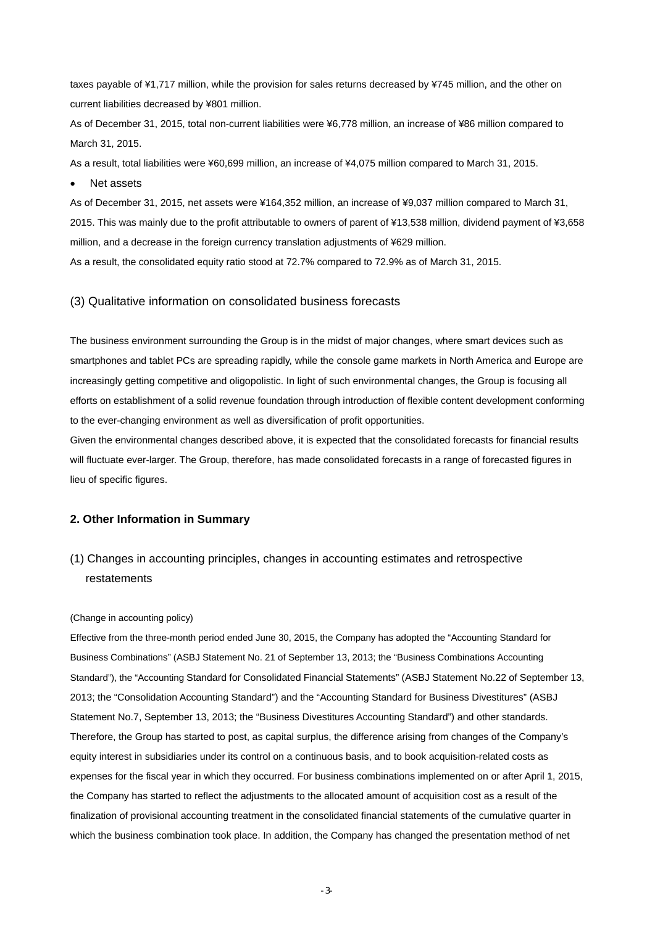taxes payable of ¥1,717 million, while the provision for sales returns decreased by ¥745 million, and the other on current liabilities decreased by ¥801 million.

As of December 31, 2015, total non-current liabilities were ¥6,778 million, an increase of ¥86 million compared to March 31, 2015.

As a result, total liabilities were ¥60,699 million, an increase of ¥4,075 million compared to March 31, 2015.

• Net assets

As of December 31, 2015, net assets were ¥164,352 million, an increase of ¥9,037 million compared to March 31, 2015. This was mainly due to the profit attributable to owners of parent of ¥13,538 million, dividend payment of ¥3,658 million, and a decrease in the foreign currency translation adjustments of ¥629 million.

As a result, the consolidated equity ratio stood at 72.7% compared to 72.9% as of March 31, 2015.

#### (3) Qualitative information on consolidated business forecasts

The business environment surrounding the Group is in the midst of major changes, where smart devices such as smartphones and tablet PCs are spreading rapidly, while the console game markets in North America and Europe are increasingly getting competitive and oligopolistic. In light of such environmental changes, the Group is focusing all efforts on establishment of a solid revenue foundation through introduction of flexible content development conforming to the ever-changing environment as well as diversification of profit opportunities.

Given the environmental changes described above, it is expected that the consolidated forecasts for financial results will fluctuate ever-larger. The Group, therefore, has made consolidated forecasts in a range of forecasted figures in lieu of specific figures.

#### **2. Other Information in Summary**

(1) Changes in accounting principles, changes in accounting estimates and retrospective restatements

#### (Change in accounting policy)

Effective from the three-month period ended June 30, 2015, the Company has adopted the "Accounting Standard for Business Combinations" (ASBJ Statement No. 21 of September 13, 2013; the "Business Combinations Accounting Standard"), the "Accounting Standard for Consolidated Financial Statements" (ASBJ Statement No.22 of September 13, 2013; the "Consolidation Accounting Standard") and the "Accounting Standard for Business Divestitures" (ASBJ Statement No.7, September 13, 2013; the "Business Divestitures Accounting Standard") and other standards. Therefore, the Group has started to post, as capital surplus, the difference arising from changes of the Company's equity interest in subsidiaries under its control on a continuous basis, and to book acquisition-related costs as expenses for the fiscal year in which they occurred. For business combinations implemented on or after April 1, 2015, the Company has started to reflect the adjustments to the allocated amount of acquisition cost as a result of the finalization of provisional accounting treatment in the consolidated financial statements of the cumulative quarter in which the business combination took place. In addition, the Company has changed the presentation method of net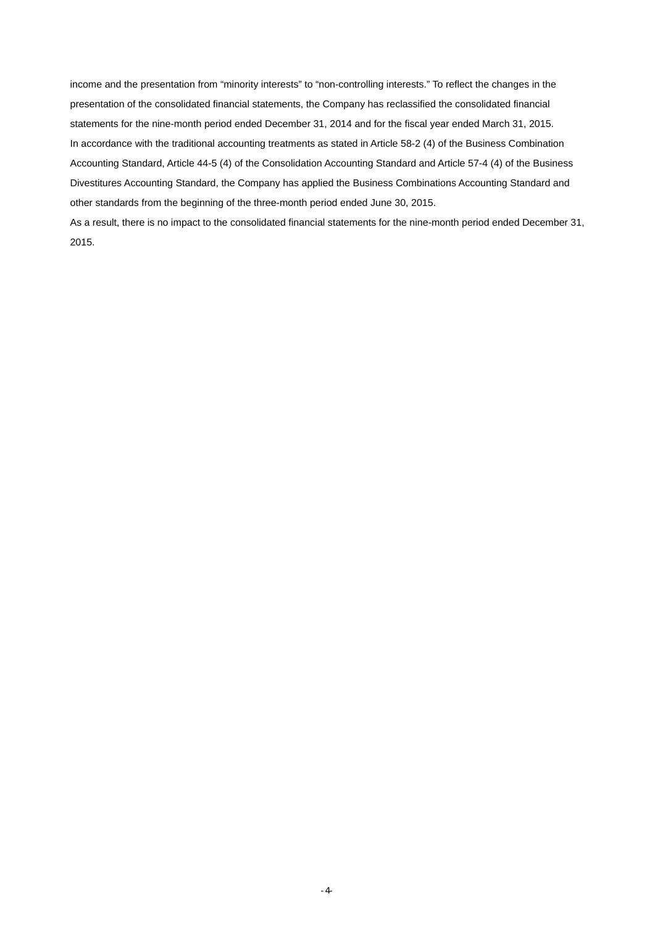income and the presentation from "minority interests" to "non-controlling interests." To reflect the changes in the presentation of the consolidated financial statements, the Company has reclassified the consolidated financial statements for the nine-month period ended December 31, 2014 and for the fiscal year ended March 31, 2015. In accordance with the traditional accounting treatments as stated in Article 58-2 (4) of the Business Combination Accounting Standard, Article 44-5 (4) of the Consolidation Accounting Standard and Article 57-4 (4) of the Business Divestitures Accounting Standard, the Company has applied the Business Combinations Accounting Standard and other standards from the beginning of the three-month period ended June 30, 2015.

As a result, there is no impact to the consolidated financial statements for the nine-month period ended December 31, 2015.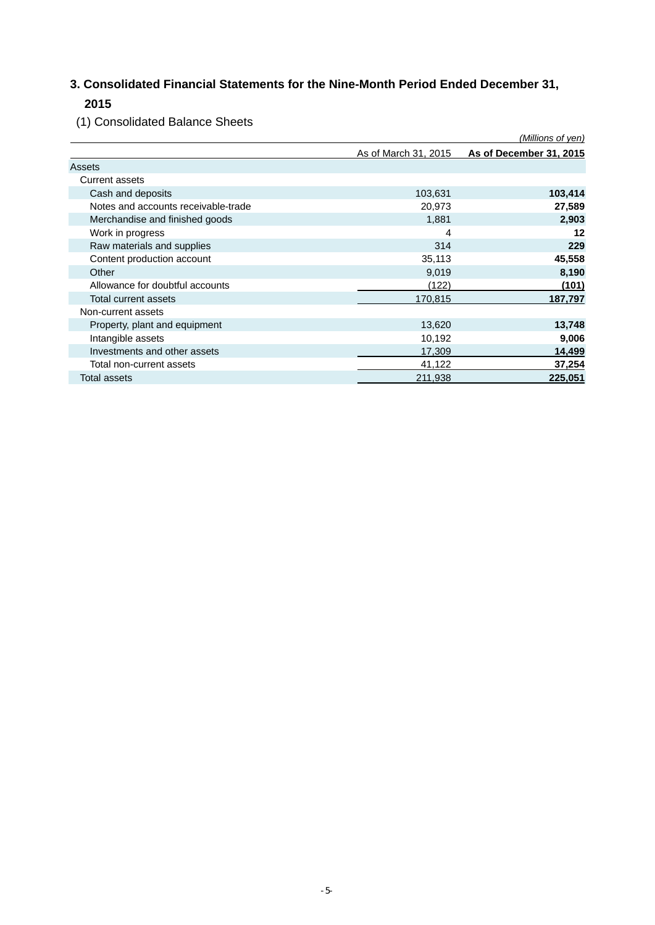## **3. Consolidated Financial Statements for the Nine-Month Period Ended December 31, 2015**

(1) Consolidated Balance Sheets

|                                     |                      | (Millions of yen)       |
|-------------------------------------|----------------------|-------------------------|
|                                     | As of March 31, 2015 | As of December 31, 2015 |
| Assets                              |                      |                         |
| <b>Current assets</b>               |                      |                         |
| Cash and deposits                   | 103,631              | 103,414                 |
| Notes and accounts receivable-trade | 20,973               | 27,589                  |
| Merchandise and finished goods      | 1,881                | 2,903                   |
| Work in progress                    | 4                    | 12                      |
| Raw materials and supplies          | 314                  | 229                     |
| Content production account          | 35,113               | 45,558                  |
| Other                               | 9,019                | 8,190                   |
| Allowance for doubtful accounts     | (122)                | (101)                   |
| Total current assets                | 170,815              | 187,797                 |
| Non-current assets                  |                      |                         |
| Property, plant and equipment       | 13,620               | 13,748                  |
| Intangible assets                   | 10,192               | 9,006                   |
| Investments and other assets        | 17,309               | 14,499                  |
| Total non-current assets            | 41,122               | 37,254                  |
| Total assets                        | 211,938              | 225,051                 |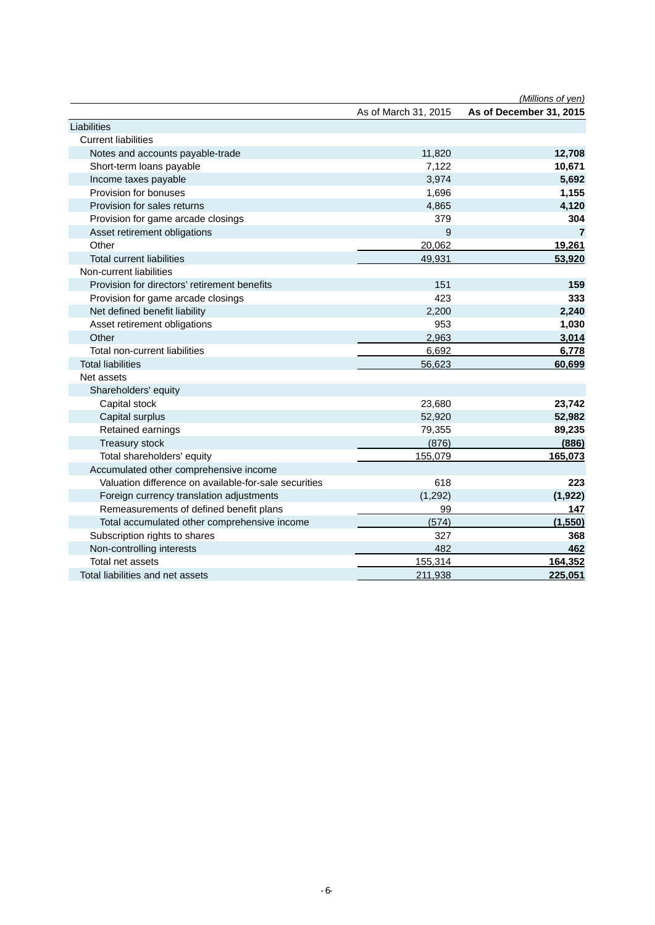|                                                       |                      | (Millions of yen)       |
|-------------------------------------------------------|----------------------|-------------------------|
|                                                       | As of March 31, 2015 | As of December 31, 2015 |
| Liabilities                                           |                      |                         |
| <b>Current liabilities</b>                            |                      |                         |
| Notes and accounts payable-trade                      | 11,820               | 12,708                  |
| Short-term loans payable                              | 7,122                | 10,671                  |
| Income taxes payable                                  | 3,974                | 5,692                   |
| Provision for bonuses                                 | 1,696                | 1,155                   |
| Provision for sales returns                           | 4,865                | 4,120                   |
| Provision for game arcade closings                    | 379                  | 304                     |
| Asset retirement obligations                          | 9                    | $\overline{7}$          |
| Other                                                 | 20,062               | 19,261                  |
| <b>Total current liabilities</b>                      | 49,931               | 53,920                  |
| Non-current liabilities                               |                      |                         |
| Provision for directors' retirement benefits          | 151                  | 159                     |
| Provision for game arcade closings                    | 423                  | 333                     |
| Net defined benefit liability                         | 2,200                | 2,240                   |
| Asset retirement obligations                          | 953                  | 1,030                   |
| Other                                                 | 2,963                | 3,014                   |
| Total non-current liabilities                         | 6,692                | 6,778                   |
| <b>Total liabilities</b>                              | 56,623               | 60,699                  |
| Net assets                                            |                      |                         |
| Shareholders' equity                                  |                      |                         |
| Capital stock                                         | 23,680               | 23,742                  |
| Capital surplus                                       | 52,920               | 52,982                  |
| Retained earnings                                     | 79,355               | 89,235                  |
| Treasury stock                                        | (876)                | (886)                   |
| Total shareholders' equity                            | 155,079              | 165,073                 |
| Accumulated other comprehensive income                |                      |                         |
| Valuation difference on available-for-sale securities | 618                  | 223                     |
| Foreign currency translation adjustments              | (1, 292)             | (1, 922)                |
| Remeasurements of defined benefit plans               | 99                   | 147                     |
| Total accumulated other comprehensive income          | (574)                | (1,550)                 |
| Subscription rights to shares                         | 327                  | 368                     |
| Non-controlling interests                             | 482                  | 462                     |
| Total net assets                                      | 155,314              | 164,352                 |
| Total liabilities and net assets                      | 211,938              | 225,051                 |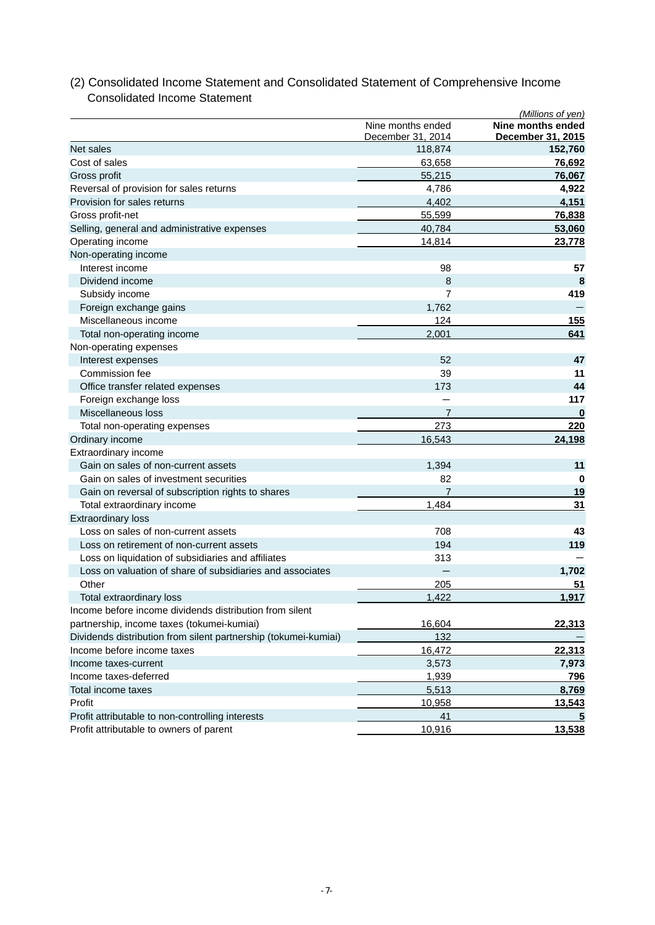|                                                                 |                                        | (Millions of yen)                      |
|-----------------------------------------------------------------|----------------------------------------|----------------------------------------|
|                                                                 | Nine months ended<br>December 31, 2014 | Nine months ended<br>December 31, 2015 |
| Net sales                                                       | 118,874                                | 152,760                                |
| Cost of sales                                                   | 63,658                                 | 76,692                                 |
| Gross profit                                                    | 55,215                                 | 76,067                                 |
| Reversal of provision for sales returns                         | 4,786                                  | 4,922                                  |
| Provision for sales returns                                     | 4,402                                  | 4,151                                  |
| Gross profit-net                                                | 55,599                                 | 76,838                                 |
| Selling, general and administrative expenses                    | 40,784                                 | 53,060                                 |
| Operating income                                                | 14,814                                 | 23,778                                 |
| Non-operating income                                            |                                        |                                        |
| Interest income                                                 | 98                                     | 57                                     |
| Dividend income                                                 | 8                                      | 8                                      |
| Subsidy income                                                  | 7                                      | 419                                    |
| Foreign exchange gains                                          | 1,762                                  |                                        |
| Miscellaneous income                                            | 124                                    | 155                                    |
| Total non-operating income                                      | 2,001                                  | 641                                    |
| Non-operating expenses                                          |                                        |                                        |
| Interest expenses                                               | 52                                     | 47                                     |
| Commission fee                                                  | 39                                     | 11                                     |
| Office transfer related expenses                                | 173                                    | 44                                     |
| Foreign exchange loss                                           |                                        | 117                                    |
| Miscellaneous loss                                              | 7                                      | $\bf{0}$                               |
| Total non-operating expenses                                    | 273                                    | 220                                    |
| Ordinary income                                                 | 16,543                                 | 24,198                                 |
| Extraordinary income                                            |                                        |                                        |
| Gain on sales of non-current assets                             | 1,394                                  | 11                                     |
| Gain on sales of investment securities                          | 82                                     | 0                                      |
| Gain on reversal of subscription rights to shares               | 7                                      | <u>19</u>                              |
| Total extraordinary income                                      | 1,484                                  | 31                                     |
| <b>Extraordinary loss</b>                                       |                                        |                                        |
| Loss on sales of non-current assets                             | 708                                    | 43                                     |
| Loss on retirement of non-current assets                        | 194                                    | 119                                    |
| Loss on liquidation of subsidiaries and affiliates              | 313                                    |                                        |
| Loss on valuation of share of subsidiaries and associates       |                                        | 1,702                                  |
| Other                                                           | 205                                    | 51                                     |
| Total extraordinary loss                                        | 1,422                                  | 1,917                                  |
| Income before income dividends distribution from silent         |                                        |                                        |
| partnership, income taxes (tokumei-kumiai)                      | 16,604                                 | 22,313                                 |
| Dividends distribution from silent partnership (tokumei-kumiai) | 132                                    |                                        |
| Income before income taxes                                      | 16,472                                 | 22,313                                 |
| Income taxes-current                                            | 3,573                                  | 7,973                                  |
| Income taxes-deferred                                           | 1,939                                  | 796                                    |
| Total income taxes                                              | 5,513                                  | 8,769                                  |
| Profit                                                          | 10,958                                 | 13,543                                 |
| Profit attributable to non-controlling interests                | 41                                     |                                        |
| Profit attributable to owners of parent                         | 10,916                                 | 13,538                                 |
|                                                                 |                                        |                                        |

## (2) Consolidated Income Statement and Consolidated Statement of Comprehensive Income Consolidated Income Statement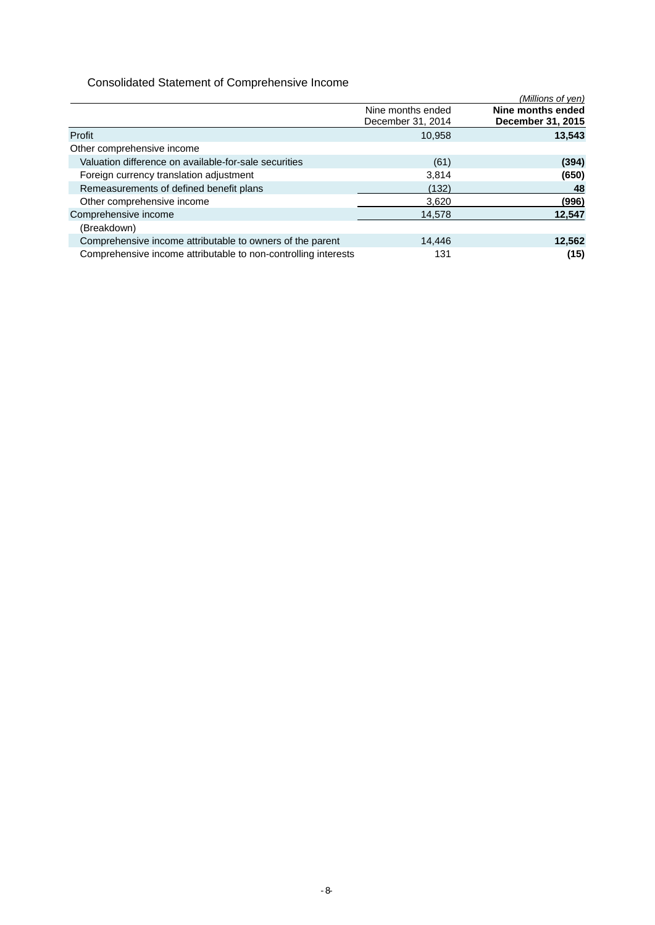## Consolidated Statement of Comprehensive Income

|                                                                |                   | (Millions of yen) |
|----------------------------------------------------------------|-------------------|-------------------|
|                                                                | Nine months ended | Nine months ended |
|                                                                | December 31, 2014 | December 31, 2015 |
| Profit                                                         | 10.958            | 13,543            |
| Other comprehensive income                                     |                   |                   |
| Valuation difference on available-for-sale securities          | (61)              | (394)             |
| Foreign currency translation adjustment                        | 3,814             | (650)             |
| Remeasurements of defined benefit plans                        | (132)             | 48                |
| Other comprehensive income                                     | 3,620             | (996)             |
| Comprehensive income                                           | 14,578            | 12,547            |
| (Breakdown)                                                    |                   |                   |
| Comprehensive income attributable to owners of the parent      | 14.446            | 12,562            |
| Comprehensive income attributable to non-controlling interests | 131               | (15)              |